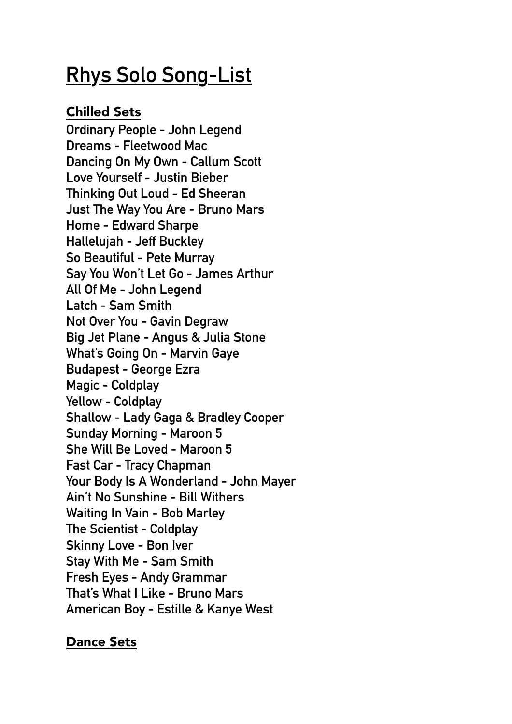## **Rhys Solo Song-List**

## Chilled Sets

**Ordinary People - John Legend Dreams - Fleetwood Mac Dancing On My Own - Callum Scott Love Yourself - Justin Bieber Thinking Out Loud - Ed Sheeran Just The Way You Are - Bruno Mars Home - Edward Sharpe Hallelujah - Jeff Buckley So Beautiful - Pete Murray Say You Won't Let Go - James Arthur All Of Me - John Legend Latch - Sam Smith Not Over You - Gavin Degraw Big Jet Plane - Angus & Julia Stone What's Going On - Marvin Gaye Budapest - George Ezra Magic - Coldplay Yellow - Coldplay Shallow - Lady Gaga & Bradley Cooper Sunday Morning - Maroon 5 She Will Be Loved - Maroon 5 Fast Car - Tracy Chapman Your Body Is A Wonderland - John Mayer Ain't No Sunshine - Bill Withers Waiting In Vain - Bob Marley The Scientist - Coldplay Skinny Love - Bon Iver Stay With Me - Sam Smith Fresh Eyes - Andy Grammar That's What I Like - Bruno Mars American Boy - Estille & Kanye West**

## Dance Sets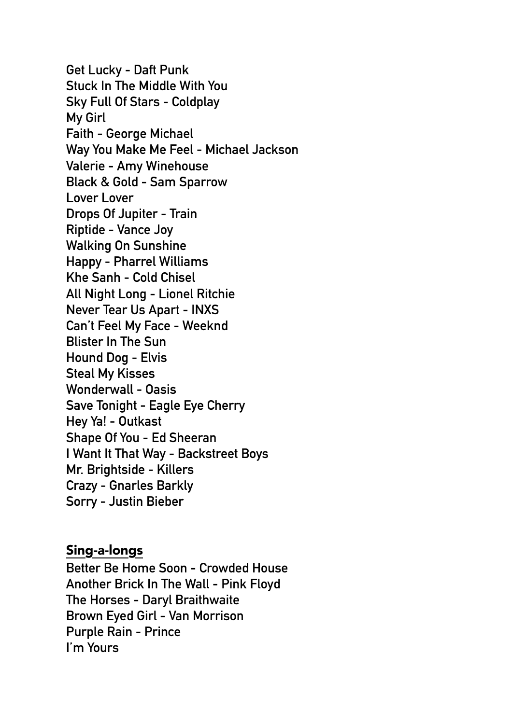**Get Lucky - Daft Punk Stuck In The Middle With You Sky Full Of Stars - Coldplay My Girl Faith - George Michael Way You Make Me Feel - Michael Jackson Valerie - Amy Winehouse Black & Gold - Sam Sparrow Lover Lover Drops Of Jupiter - Train Riptide - Vance Joy Walking On Sunshine Happy - Pharrel Williams Khe Sanh - Cold Chisel All Night Long - Lionel Ritchie Never Tear Us Apart - INXS Can't Feel My Face - Weeknd Blister In The Sun Hound Dog - Elvis Steal My Kisses Wonderwall - Oasis Save Tonight - Eagle Eye Cherry Hey Ya! - Outkast Shape Of You - Ed Sheeran I Want It That Way - Backstreet Boys Mr. Brightside - Killers Crazy - Gnarles Barkly Sorry - Justin Bieber** 

## Sing-a-longs

**Better Be Home Soon - Crowded House Another Brick In The Wall - Pink Floyd The Horses - Daryl Braithwaite Brown Eyed Girl - Van Morrison Purple Rain - Prince I'm Yours**